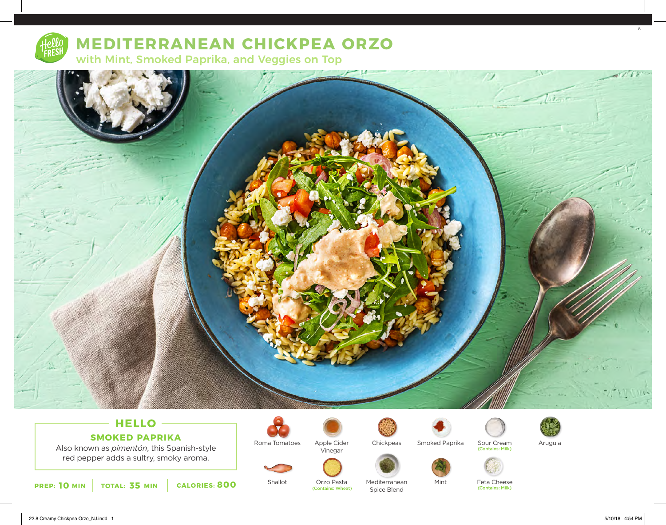

# **MEDITERRANEAN CHICKPEA ORZO**

with Mint, Smoked Paprika, and Veggies on Top



# **HELLO SMOKED PAPRIKA**

Also known as *pimentón*, this Spanish-style red pepper adds a sultry, smoky aroma.



Apple Cider Vinegar



Smoked Paprika





Arugula





Feta Cheese<br>(Contains: Milk)

Sour Cream

(Contains: Milk)

**PREP: 10** MIN **TOTAL: 35 MIN CALORIES: 800** Shallot Urzo Pasta Mediterranean Mint Feta Cheese<br>Contains: Wheat) Spice Rlend Shire Rend

Shallot

Orzo Pasta<br>(Contains: Wheat) Mediterranean Spice Blend

22.8 Creamy Chickpea Orzo\_NJ.indd 1 5/10/18 4:54 PM

8